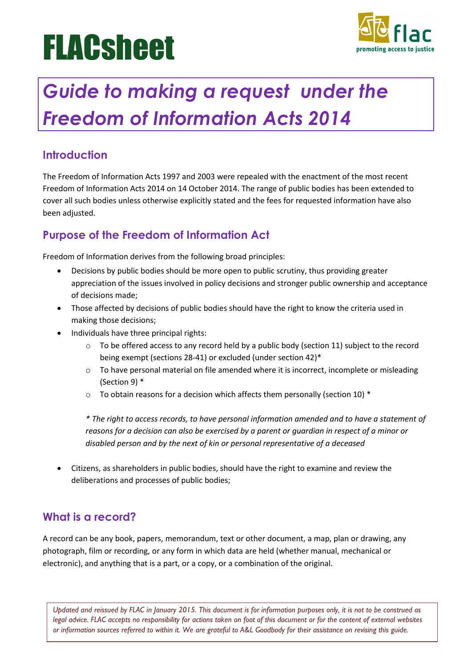# **FLACsheet**



# *Guide to making a request under the Freedom of Information Acts 2014*

## **Introduction**

The Freedom of Information Acts 1997 and 2003 were repealed with the enactment of the most recent Freedom of Information Acts 2014 on 14 October 2014. The range of public bodies has been extended to cover all such bodies unless otherwise explicitly stated and the fees for requested information have also been adjusted.

# **Purpose of the Freedom of Information Act**

Freedom of Information derives from the following broad principles:

- Decisions by public bodies should be more open to public scrutiny, thus providing greater appreciation of the issues involved in policy decisions and stronger public ownership and acceptance of decisions made;
- Those affected by decisions of public bodies should have the right to know the criteria used in making those decisions;
- Individuals have three principal rights:
	- $\circ$  To be offered access to any record held by a public body (section 11) subject to the record being exempt (sections 28-41) or excluded (under section 42)\*
	- $\circ$  To have personal material on file amended where it is incorrect, incomplete or misleading (Section 9) \*
	- o To obtain reasons for a decision which affects them personally (section 10) \*

*\* The right to access records, to have personal information amended and to have a statement of reasons for a decision can also be exercised by a parent or guardian in respect of a minor or disabled person and by the next of kin or personal representative of a deceased*

• Citizens, as shareholders in public bodies, should have the right to examine and review the deliberations and processes of public bodies;

#### **What is a record?**

A record can be any book, papers, memorandum, text or other document, a map, plan or drawing, any photograph, film or recording, or any form in which data are held (whether manual, mechanical or electronic), and anything that is a part, or a copy, or a combination of the original.

*Updated and reissued by FLAC in January 2015. This document is for information purposes only, it is not to be construed as legal advice. FLAC accepts no responsibility for actions taken on foot of this document or for the content of external websites or information sources referred to within it. We are grateful to A&L Goodbody for their assistance on revising this guide.*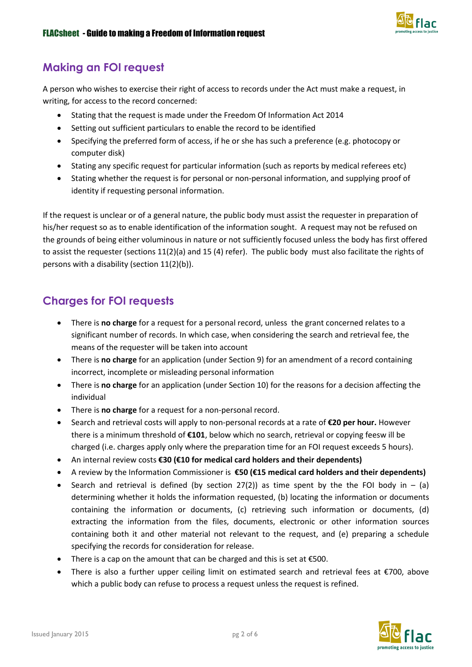

#### **Making an FOI request**

A person who wishes to exercise their right of access to records under the Act must make a request, in writing, for access to the record concerned:

- Stating that the request is made under the Freedom Of Information Act 2014
- Setting out sufficient particulars to enable the record to be identified
- Specifying the preferred form of access, if he or she has such a preference (e.g. photocopy or computer disk)
- Stating any specific request for particular information (such as reports by medical referees etc)
- Stating whether the request is for personal or non-personal information, and supplying proof of identity if requesting personal information.

If the request is unclear or of a general nature, the public body must assist the requester in preparation of his/her request so as to enable identification of the information sought. A request may not be refused on the grounds of being either voluminous in nature or not sufficiently focused unless the body has first offered to assist the requester (sections 11(2)(a) and 15 (4) refer). The public body must also facilitate the rights of persons with a disability (section 11(2)(b)).

#### **Charges for FOI requests**

- There is **no charge** for a request for a personal record, unless the grant concerned relates to a significant number of records. In which case, when considering the search and retrieval fee, the means of the requester will be taken into account
- There is **no charge** for an application (under Section 9) for an amendment of a record containing incorrect, incomplete or misleading personal information
- There is **no charge** for an application (under Section 10) for the reasons for a decision affecting the individual
- There is **no charge** for a request for a non-personal record.
- Search and retrieval costs will apply to non-personal records at a rate of **€20 per hour.** However there is a minimum threshold of **€101**, below which no search, retrieval or copying feesw ill be charged (i.e. charges apply only where the preparation time for an FOI request exceeds 5 hours).
- An internal review costs **€30 (€10 for medical card holders and their dependents)**
- A review by the Information Commissioner is **€50 (€15 medical card holders and their dependents)**
- Search and retrieval is defined (by section 27(2)) as time spent by the the FOI body in  $-$  (a) determining whether it holds the information requested, (b) locating the information or documents containing the information or documents, (c) retrieving such information or documents, (d) extracting the information from the files, documents, electronic or other information sources containing both it and other material not relevant to the request, and (e) preparing a schedule specifying the records for consideration for release.
- There is a cap on the amount that can be charged and this is set at €500.
- There is also a further upper ceiling limit on estimated search and retrieval fees at €700, above which a public body can refuse to process a request unless the request is refined.

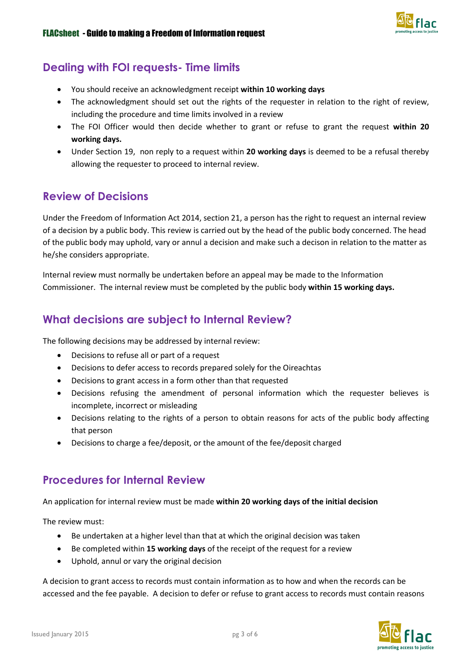

#### **Dealing with FOI requests- Time limits**

- You should receive an acknowledgment receipt **within 10 working days**
- The acknowledgment should set out the rights of the requester in relation to the right of review, including the procedure and time limits involved in a review
- The FOI Officer would then decide whether to grant or refuse to grant the request **within 20 working days.**
- Under Section 19, non reply to a request within **20 working days** is deemed to be a refusal thereby allowing the requester to proceed to internal review.

#### **Review of Decisions**

Under the Freedom of Information Act 2014, section 21, a person has the right to request an internal review of a decision by a public body. This review is carried out by the head of the public body concerned. The head of the public body may uphold, vary or annul a decision and make such a decison in relation to the matter as he/she considers appropriate.

Internal review must normally be undertaken before an appeal may be made to the Information Commissioner. The internal review must be completed by the public body **within 15 working days.**

#### **What decisions are subject to Internal Review?**

The following decisions may be addressed by internal review:

- Decisions to refuse all or part of a request
- Decisions to defer access to records prepared solely for the Oireachtas
- Decisions to grant access in a form other than that requested
- Decisions refusing the amendment of personal information which the requester believes is incomplete, incorrect or misleading
- Decisions relating to the rights of a person to obtain reasons for acts of the public body affecting that person
- Decisions to charge a fee/deposit, or the amount of the fee/deposit charged

#### **Procedures for Internal Review**

An application for internal review must be made **within 20 working days of the initial decision**

The review must:

- Be undertaken at a higher level than that at which the original decision was taken
- Be completed within **15 working days** of the receipt of the request for a review
- Uphold, annul or vary the original decision

A decision to grant access to records must contain information as to how and when the records can be accessed and the fee payable. A decision to defer or refuse to grant access to records must contain reasons

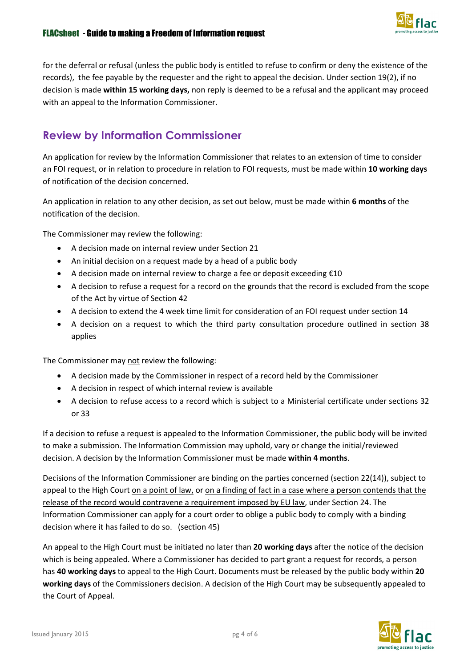

for the deferral or refusal (unless the public body is entitled to refuse to confirm or deny the existence of the records), the fee payable by the requester and the right to appeal the decision. Under section 19(2), if no decision is made **within 15 working days,** non reply is deemed to be a refusal and the applicant may proceed with an appeal to the Information Commissioner.

### **Review by Information Commissioner**

An application for review by the Information Commissioner that relates to an extension of time to consider an FOI request, or in relation to procedure in relation to FOI requests, must be made within **10 working days** of notification of the decision concerned.

An application in relation to any other decision, as set out below, must be made within **6 months** of the notification of the decision.

The Commissioner may review the following:

- A decision made on internal review under Section 21
- An initial decision on a request made by a head of a public body
- A decision made on internal review to charge a fee or deposit exceeding €10
- A decision to refuse a request for a record on the grounds that the record is excluded from the scope of the Act by virtue of Section 42
- A decision to extend the 4 week time limit for consideration of an FOI request under section 14
- A decision on a request to which the third party consultation procedure outlined in section 38 applies

The Commissioner may not review the following:

- A decision made by the Commissioner in respect of a record held by the Commissioner
- A decision in respect of which internal review is available
- A decision to refuse access to a record which is subject to a Ministerial certificate under sections 32 or 33

If a decision to refuse a request is appealed to the Information Commissioner, the public body will be invited to make a submission. The Information Commission may uphold, vary or change the initial/reviewed decision. A decision by the Information Commissioner must be made **within 4 months**.

Decisions of the Information Commissioner are binding on the parties concerned (section 22(14)), subject to appeal to the High Court on a point of law, or on a finding of fact in a case where a person contends that the release of the record would contravene a requirement imposed by EU law, under Section 24. The Information Commissioner can apply for a court order to oblige a public body to comply with a binding decision where it has failed to do so. (section 45)

An appeal to the High Court must be initiated no later than **20 working days** after the notice of the decision which is being appealed. Where a Commissioner has decided to part grant a request for records, a person has **40 working days** to appeal to the High Court. Documents must be released by the public body within **20 working days** of the Commissioners decision. A decision of the High Court may be subsequently appealed to the Court of Appeal.

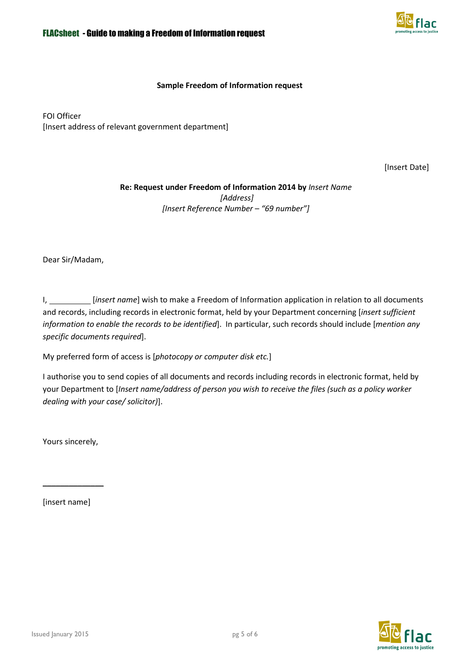

#### **Sample Freedom of Information request**

FOI Officer [Insert address of relevant government department]

[Insert Date]

#### **Re: Request under Freedom of Information 2014 by** *Insert Name [Address] [Insert Reference Number – "69 number"]*

Dear Sir/Madam,

I, *[insert name]* wish to make a Freedom of Information application in relation to all documents and records, including records in electronic format, held by your Department concerning [*insert sufficient information to enable the records to be identified*]. In particular, such records should include [*mention any specific documents required*].

My preferred form of access is [*photocopy or computer disk etc.*]

I authorise you to send copies of all documents and records including records in electronic format, held by your Department to [*Insert name/address of person you wish to receive the files (such as a policy worker dealing with your case/ solicitor)*].

Yours sincerely,

[insert name]

\_\_\_\_\_\_\_\_\_\_\_\_\_\_